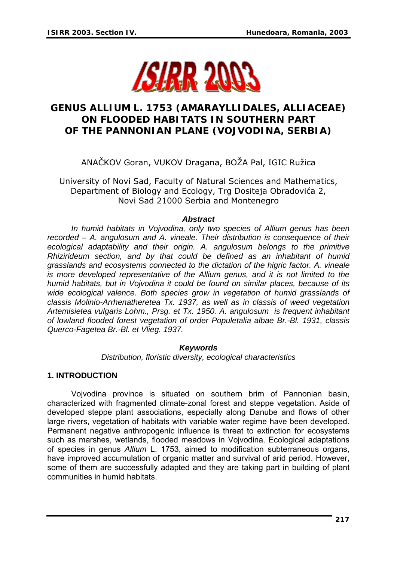

# **GENUS** *ALLIUM* **L. 1753 (AMARAYLLIDALES, ALLIACEAE) ON FLOODED HABITATS IN SOUTHERN PART OF THE PANNONIAN PLANE (VOJVODINA, SERBIA)**

ANAČKOV Goran, VUKOV Dragana, BOŽA Pal, IGIC Ružica

University of Novi Sad, Faculty of Natural Sciences and Mathematics, Department of Biology and Ecology, Trg Dositeja Obradovića 2, Novi Sad 21000 Serbia and Montenegro

#### *Abstract*

*In humid habitats in Vojvodina, only two species of Allium genus has been recorded – A. angulosum and A. vineale. Their distribution is consequence of their ecological adaptability and their origin. A. angulosum belongs to the primitive Rhizirideum section, and by that could be defined as an inhabitant of humid grasslands and ecosystems connected to the dictation of the higric factor. A. vineale is more developed representative of the Allium genus, and it is not limited to the humid habitats, but in Vojvodina it could be found on similar places, because of its wide ecological valence. Both species grow in vegetation of humid grasslands of classis Molinio-Arrhenatheretea Tx. 1937, as well as in classis of weed vegetation Artemisietea vulgaris Lohm., Prsg. et Tx. 1950. A. angulosum is frequent inhabitant of lowland flooded forest vegetation of order Populetalia albae Br.-Bl. 1931, classis Querco-Fagetea Br.-Bl. et Vlieg. 1937.* 

#### *Keywords*

*Distribution, floristic diversity, ecological characteristics* 

#### **1. INTRODUCTION**

 Vojvodina province is situated on southern brim of Pannonian basin, characterized with fragmented climate-zonal forest and steppe vegetation. Aside of developed steppe plant associations, especially along Danube and flows of other large rivers, vegetation of habitats with variable water regime have been developed. Permanent negative anthropogenic influence is threat to extinction for ecosystems such as marshes, wetlands, flooded meadows in Vojvodina. Ecological adaptations of species in genus *Allium* L. 1753, aimed to modification subterraneous organs, have improved accumulation of organic matter and survival of arid period. However, some of them are successfully adapted and they are taking part in building of plant communities in humid habitats.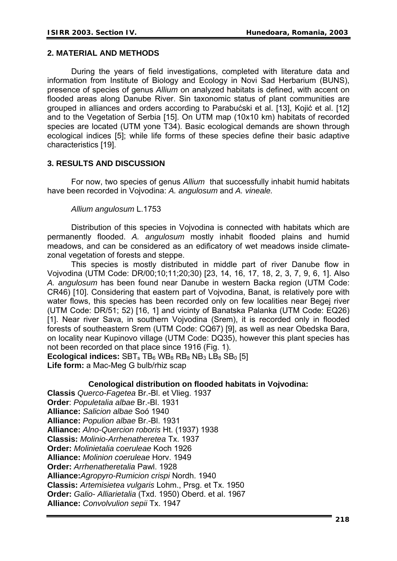## **2. MATERIAL AND METHODS**

 During the years of field investigations, completed with literature data and information from Institute of Biology and Ecology in Novi Sad Herbarium (BUNS), presence of species of genus *Allium* on analyzed habitats is defined, with accent on flooded areas along Danube River. Sin taxonomic status of plant communities are grouped in alliances and orders according to Parabućski et al. [13], Kojić et al. [12] and to the Vegetation of Serbia [15]. On UTM map (10x10 km) habitats of recorded species are located (UTM yone T34). Basic ecological demands are shown through ecological indices [5]; while life forms of these species define their basic adaptive characteristics [19].

## **3. RESULTS AND DISCUSSION**

 For now, two species of genus *Allium* that successfully inhabit humid habitats have been recorded in Vojvodina: *A. angulosum* and *A. vineale.* 

#### *Allium angulosum* L.1753

 Distribution of this species in Vojvodina is connected with habitats which are permanently flooded. *A. angulosum* mostly inhabit flooded plains and humid meadows, and can be considered as an edificatory of wet meadows inside climatezonal vegetation of forests and steppe.

 This species is mostly distributed in middle part of river Danube flow in Vojvodina (UTM Code: DR/00;10;11;20;30) [23, 14, 16, 17, 18, 2, 3, 7, 9, 6, 1]. Also *A. angulosum* has been found near Danube in western Backa region (UTM Code: CR46) [10]. Considering that eastern part of Vojvodina, Banat, is relatively pore with water flows, this species has been recorded only on few localities near Begej river (UTM Code: DR/51; 52) [16, 1] and vicinty of Banatska Palanka (UTM Code: EQ26) [1]. Near river Sava, in southern Vojvodina (Srem), it is recorded only in flooded forests of southeastern Srem (UTM Code: CQ67) [9], as well as near Obedska Bara, on locality near Kupinovo village (UTM Code: DQ35), however this plant species has not been recorded on that place since 1916 (Fig. 1).

**Ecological indices:**  $SBT_s$  TB<sub>6</sub> WB<sub>8</sub> RB<sub>8</sub> NB<sub>3</sub> LB<sub>8</sub> SB<sub>0</sub> [5] **Life form:** a Mac-Meg G bulb/rhiz scap

## **Cenological distribution on flooded habitats in Vojvodina:**

**Classis** *Querco-Fagetea* Br.-Bl. et Vlieg. 1937 **Order**: *Populetalia albae* Br.-Bl. 1931 **Alliance:** *Salicion albae* Soó 1940 **Alliance:** *Populion albae* Br.-Bl. 1931 **Alliance:** *Alno-Quercion roboris* Ht. (1937) 1938 **Classis:** *Molinio-Arrhenatheretea* Tx. 1937 **Order:** *Molinietalia coeruleae* Koch 1926 **Alliance:** *Molinion coeruleae* Horv. 1949 **Order:** *Arrhenatheretalia* Pawl. 1928 **Alliance:***Agropyro-Rumicion crispi* Nordh. 1940 **Classis:** *Artemisietea vulgaris* Lohm., Prsg. et Tx. 1950 **Order:** *Galio- Alliarietalia* (Txd. 1950) Oberd. et al. 1967 **Alliance:** *Convolvulion sepii* Tx. 1947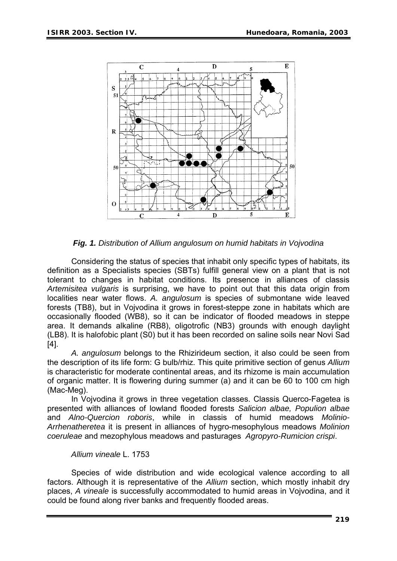

*Fig. 1. Distribution of Allium angulosum on humid habitats in Vojvodina* 

(LB8). It is halofobic plant (S0) but it has been recorded on saline soils near Novi Sad Considering the status of species that inhabit only specific types of habitats, its definition as a Specialists species (SBTs) fulfill general view on a plant that is not tolerant to changes in habitat conditions. Its presence in alliances of classis *Artemisitea vulgaris* is surprising, we have to point out that this data origin from localities near water flows. *A. angulosum* is species of submontane wide leaved forests (TB8), but in Vojvodina it grows in forest-steppe zone in habitats which are occasionally flooded (WB8), so it can be indicator of flooded meadows in steppe area. It demands alkaline (RB8), oligotrofic (NB3) grounds with enough daylight [4].

of organic matter. It is flowering during summer (a) and it can be 60 to 100 cm high  *A. angulosum* belongs to the Rhizirideum section, it also could be seen from the description of its life form: G bulb/rhiz. This quite primitive section of genus *Allium* is characteristic for moderate continental areas, and its rhizome is main accumulation (Mac-Meg).

Arrhenatheretea it is present in alliances of hygro-mesophylous meadows Molinion *oeruleae* and mezophylous meadows and pasturages *Agropyro-Rumicion crispi*. *c* In Vojvodina it grows in three vegetation classes. Classis Querco-Fagetea is presented with alliances of lowland flooded forests *Salicion albae, Populion albae* and *Alno-Quercion roboris*, while in classis of humid meadows *Molinio-*

#### *Allium vineale* L. 1753

places, A vineale is successfully accommodated to humid areas in Vojvodina, and it could be found along river banks and frequently flooded areas. Species of wide distribution and wide ecological valence according to all factors. Although it is representative of the *Allium* section, which mostly inhabit dry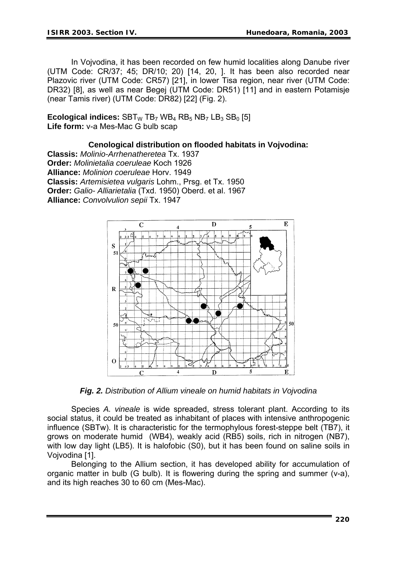DR32) [8], as well as near Begej (UTM Code: DR51) [11] and in eastern Potamisje (near Tamis river) (UTM Code: DR82) [22] (Fig. 2). In Vojvodina, it has been recorded on few humid localities along Danube river (UTM Code: CR/37; 45; DR/10; 20) [14, 20, ]. It has been also recorded near Plazovic river (UTM Code: CR57) [21], in lower Tisa region, near river (UTM Code:

**Ecological indices:**  $SBT_W TB_7 WB_4 RB_5 NB_7 LB_3 SB_0 [5]$ Life form: v-a Mes-Mac G bulb scap

#### **Cenological distribution on flooded habitats in Vojvodina:**

Order: Galio- Alliarietalia (Txd. 1950) Oberd. et al. 1967 **lliance:** *Convolvulion sepii* Tx. 1947 **A Classis:** *Molinio-Arrhenatheretea* Tx. 1937 **Order:** *Molinietalia coeruleae* Koch 1926 **Alliance:** *Molinion coeruleae* Horv. 1949 **Classis:** *Artemisietea vulgaris* Lohm., Prsg. et Tx. 1950



*Fig. 2. Distribution of Allium vineale on humid habitats in Vojvodina* 

with low day light (LB5). It is halofobic (S0), but it has been found on saline soils in Vojvod ina [1]. Species *A. vineale* is wide spreaded, stress tolerant plant. According to its social status, it could be treated as inhabitant of places with intensive anthropogenic influence (SBTw). It is characteristic for the termophylous forest-steppe belt (TB7), it grows on moderate humid (WB4), weakly acid (RB5) soils, rich in nitrogen (NB7),

organic matter in bulb (G bulb). It is flowering during the spring and summer (v-a), and its high reaches 30 to 60 cm (Mes-Mac). Belonging to the Allium section, it has developed ability for accumulation of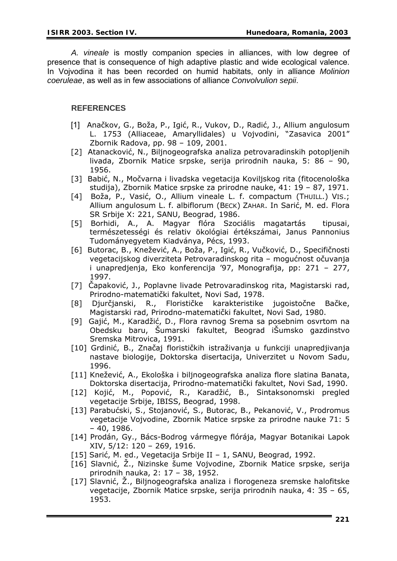*A. vineale* is mostly companion species in alliances, with low degree of presence that is consequence of high adaptive plastic and wide ecological valence. Vojvodina it has been recorded on humid habitats, only in alliance *Molinion*  In *oeruleae*, as well as in few associations of alliance *Convolvulion sepii*. *c*

## **REFERENCES**

- [1] Anačkov, G., Boža, P., Igić, R., Vukov, D., Radić, J., Allium angulosum L. 1753 (Alliaceae, Amaryllidales) u Vojvodini, "Zasavica 2001" Zbornik Radova, pp. 98 – 109, 2001.
- [2] Atanacković, N., Biljnogeografska analiza petrovaradinskih potopljenih livada, Zbornik Matice srpske, serija prirodnih nauka, 5: 86 – 90, 1956.
- [3] Babić, N., Močvarna i livadska vegetacija Koviljskog rita (fitocenološka studija), Zbornik Matice srpske za prirodne nauke, 41: 19 – 87, 1971.
- [4] Boža, P., Vasić, O., Allium vineale L. f. compactum (THUILL.) VIS.; Allium angulosum L. f. albiflorum (BECK) ZAHAR. In Sarić, M. ed. Flora SR Srbije X: 221, SANU, Beograd, 1986.
- [5] Borhidi, A., A. Magyar flóra Szociális magatartás tipusai, természetességi és relativ ökológiai értékszámai, Janus Pannonius Tudományegyetem Kiadványa, Pécs, 1993.
- [6] Butorac, B., Knežević, A., Boža, P., Igić, R., Vučković, D., Specifičnosti vegetacijskog diverziteta Petrovaradinskog rita - mogućnost očuvanja i unapredjenja, Eko konferencija '97, Monografija, pp: 271 – 277, 1997.
- [7] Čapaković, J., Poplavne livade Petrovaradinskog rita, Magistarski rad, Prirodno-matematički fakultet, Novi Sad, 1978.
- [8] Djurčjanski, R., Florističke karakteristike jugoistočne Bačke, Magistarski rad, Prirodno-matematički fakultet, Novi Sad, 1980.
- [9] Gajić, M., Karadžić, D., Flora ravnog Srema sa posebnim osvrtom na Obedsku baru, Šumarski fakultet, Beograd iŠumsko gazdinstvo Sremska Mitrovica, 1991.
- [10] Grdinić, B., Značaj florističkih istraživanja u funkciji unapredjivanja nastave biologije, Doktorska disertacija, Univerzitet u Novom Sadu, 1996.
- Doktorska disertacija, Prirodno-matematički fakultet, Novi Sad, 1990. [11] Knežević, A., Ekološka i biljnogeografska analiza flore slatina Banata,
- [12] Kojić, M., Popović, R., Karadžić, B., Sintaksonomski pregled vegetacije Srbije, IBISS, Beograd, 1998.
- [13] Parabućski, S., Stojanović, S., Butorac, B., Pekanović, V., Prodromus vegetacije Vojvodine, Zbornik Matice srpske za prirodne nauke 71: 5 – 40, 1986.
- [14] Prodán, Gy., Bács-Bodrog vármegye flórája, Magyar Botanikai Lapok XIV, 5/12: 120 – 269, 1916.
- [15] Sarić, M. ed., Vegetacija Srbije II 1, SANU, Beograd, 1992.
- [16] Slavnić, Ž., Nizinske šume Vojvodine, Zbornik Matice srpske, serija prirodnih nauka, 2: 17 – 38, 1952.
- [17] Slavnić, Ż., Biljnogeografska analiza i florogeneza sremske halofitske vegetacije, Zbornik Matice srpske, serija prirodnih nauka, 4: 35 – 65, 1953.